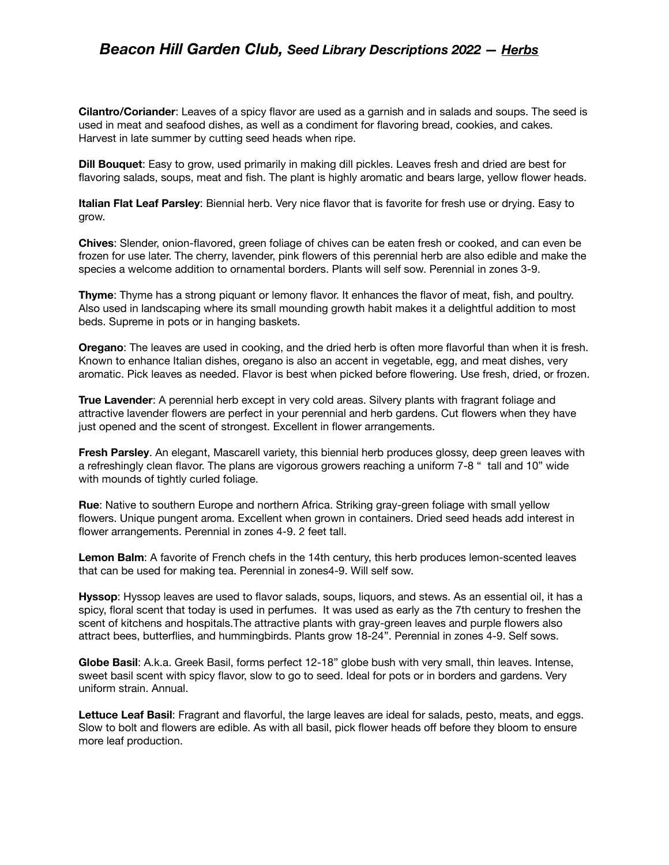## *Beacon Hill Garden Club, Seed Library Descriptions 2022 — Herbs*

**Cilantro/Coriander**: Leaves of a spicy flavor are used as a garnish and in salads and soups. The seed is used in meat and seafood dishes, as well as a condiment for flavoring bread, cookies, and cakes. Harvest in late summer by cutting seed heads when ripe.

**Dill Bouquet**: Easy to grow, used primarily in making dill pickles. Leaves fresh and dried are best for flavoring salads, soups, meat and fish. The plant is highly aromatic and bears large, yellow flower heads.

**Italian Flat Leaf Parsley**: Biennial herb. Very nice flavor that is favorite for fresh use or drying. Easy to grow.

**Chives**: Slender, onion-flavored, green foliage of chives can be eaten fresh or cooked, and can even be frozen for use later. The cherry, lavender, pink flowers of this perennial herb are also edible and make the species a welcome addition to ornamental borders. Plants will self sow. Perennial in zones 3-9.

**Thyme**: Thyme has a strong piquant or lemony flavor. It enhances the flavor of meat, fish, and poultry. Also used in landscaping where its small mounding growth habit makes it a delightful addition to most beds. Supreme in pots or in hanging baskets.

**Oregano**: The leaves are used in cooking, and the dried herb is often more flavorful than when it is fresh. Known to enhance Italian dishes, oregano is also an accent in vegetable, egg, and meat dishes, very aromatic. Pick leaves as needed. Flavor is best when picked before flowering. Use fresh, dried, or frozen.

**True Lavender**: A perennial herb except in very cold areas. Silvery plants with fragrant foliage and attractive lavender flowers are perfect in your perennial and herb gardens. Cut flowers when they have just opened and the scent of strongest. Excellent in flower arrangements.

**Fresh Parsley**. An elegant, Mascarell variety, this biennial herb produces glossy, deep green leaves with a refreshingly clean flavor. The plans are vigorous growers reaching a uniform 7-8 " tall and 10" wide with mounds of tightly curled foliage.

**Rue**: Native to southern Europe and northern Africa. Striking gray-green foliage with small yellow flowers. Unique pungent aroma. Excellent when grown in containers. Dried seed heads add interest in flower arrangements. Perennial in zones 4-9. 2 feet tall.

**Lemon Balm**: A favorite of French chefs in the 14th century, this herb produces lemon-scented leaves that can be used for making tea. Perennial in zones4-9. Will self sow.

**Hyssop**: Hyssop leaves are used to flavor salads, soups, liquors, and stews. As an essential oil, it has a spicy, floral scent that today is used in perfumes. It was used as early as the 7th century to freshen the scent of kitchens and hospitals.The attractive plants with gray-green leaves and purple flowers also attract bees, butterflies, and hummingbirds. Plants grow 18-24". Perennial in zones 4-9. Self sows.

**Globe Basil**: A.k.a. Greek Basil, forms perfect 12-18" globe bush with very small, thin leaves. Intense, sweet basil scent with spicy flavor, slow to go to seed. Ideal for pots or in borders and gardens. Very uniform strain. Annual.

**Lettuce Leaf Basil**: Fragrant and flavorful, the large leaves are ideal for salads, pesto, meats, and eggs. Slow to bolt and flowers are edible. As with all basil, pick flower heads off before they bloom to ensure more leaf production.